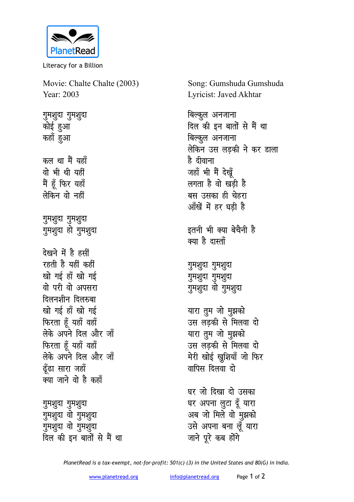

Literacy for a Billion

Movie: Chalte Chalte (2003) Year: 2003

गुमशुदा गुमशुदा कोई हुआ कहाँ हुआ कल था मैं यहाँ वो भी थी यहीं मैं हूँ फिर यहाँ लेकिन वो नहीं गुमशुदा गुमशुदा गुमशुदा हो गुमशुदा देखने में है हसीं रहती है यहीं कहीं खो गई हाँ खो गई वो परी वो अपसरा दिलनशीन दिलरुबा खो गई हाँ खो गई फिरता हूँ यहाँ वहाँ लेके अपने दिल और जॉ फिरता हूँ यहाँ वहाँ लेके अपने दिल और जॉ ढँढा सारा जहाँ क्या जाने वो है कहाँ

गुमशुदा गुमशुदा गुमशुदा वो गुमशुदा गुमशुदा वो गुमशुदा दिल की इन बातों से मैं था Song: Gumshuda Gumshuda Lyricist: Javed Akhtar

बिल्कूल अनजाना दिल की इन बातों से मैं था बिल्कूल अनजाना लेकिन उस लडकी ने कर डाला है दीवाना जहाँ भी मैं देखें लगता है वो खड़ी है बस उसका ही चेहरा आँखें में हर घड़ी है इतनी भी क्या बेचैनी है क्या है दास्ताँ गुमशुदा गुमशुदा गुमशुदा गुमशुदा गुमशुदा वो गुमशुदा यारा तुम जो मुझको उस लडकी से मिलवा दो यारा तुम जो मुझको उस लडकी से मिलवा दो मेरी खोई खुशियाँ जो फिर वापिस दिलवा दो घर जो दिखा दो उसका घर अपना लुटा दूँ यारा अब जो मिले वो मुझको

उसे अपना बना लुँ यारा

जाने पूरे कब होंगे

PlanetRead is a tax-exempt, not-for-profit: 501(c) (3) in the United States and 80(G) in India.